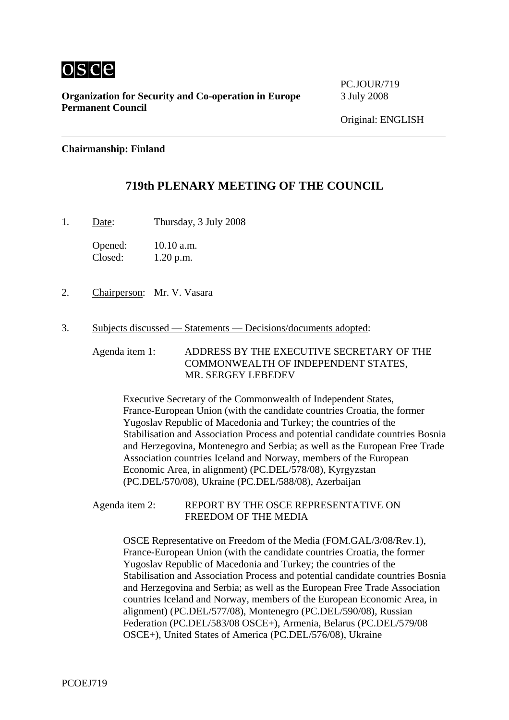

**Organization for Security and Co-operation in Europe** 3 July 2008 **Permanent Council** 

PC.JOUR/719

## **Chairmanship: Finland**

# **719th PLENARY MEETING OF THE COUNCIL**

1. Date: Thursday, 3 July 2008

Opened: 10.10 a.m. Closed: 1.20 p.m.

- 2. Chairperson: Mr. V. Vasara
- 3. Subjects discussed Statements Decisions/documents adopted:

Agenda item 1: ADDRESS BY THE EXECUTIVE SECRETARY OF THE COMMONWEALTH OF INDEPENDENT STATES, MR. SERGEY LEBEDEV

Executive Secretary of the Commonwealth of Independent States, France-European Union (with the candidate countries Croatia, the former Yugoslav Republic of Macedonia and Turkey; the countries of the Stabilisation and Association Process and potential candidate countries Bosnia and Herzegovina, Montenegro and Serbia; as well as the European Free Trade Association countries Iceland and Norway, members of the European Economic Area, in alignment) (PC.DEL/578/08), Kyrgyzstan (PC.DEL/570/08), Ukraine (PC.DEL/588/08), Azerbaijan

Agenda item 2: REPORT BY THE OSCE REPRESENTATIVE ON FREEDOM OF THE MEDIA

> OSCE Representative on Freedom of the Media (FOM.GAL/3/08/Rev.1), France-European Union (with the candidate countries Croatia, the former Yugoslav Republic of Macedonia and Turkey; the countries of the Stabilisation and Association Process and potential candidate countries Bosnia and Herzegovina and Serbia; as well as the European Free Trade Association countries Iceland and Norway, members of the European Economic Area, in alignment) (PC.DEL/577/08), Montenegro (PC.DEL/590/08), Russian Federation (PC.DEL/583/08 OSCE+), Armenia, Belarus (PC.DEL/579/08 OSCE+), United States of America (PC.DEL/576/08), Ukraine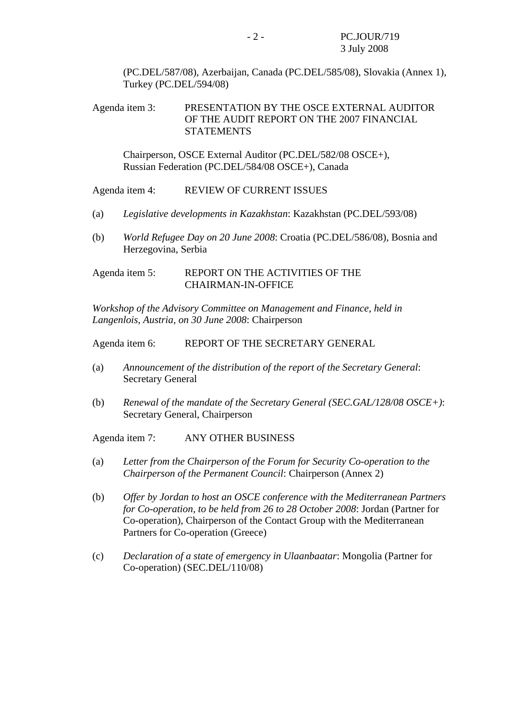(PC.DEL/587/08), Azerbaijan, Canada (PC.DEL/585/08), Slovakia (Annex 1), Turkey (PC.DEL/594/08)

## Agenda item 3: PRESENTATION BY THE OSCE EXTERNAL AUDITOR OF THE AUDIT REPORT ON THE 2007 FINANCIAL **STATEMENTS**

Chairperson, OSCE External Auditor (PC.DEL/582/08 OSCE+), Russian Federation (PC.DEL/584/08 OSCE+), Canada

#### Agenda item 4: REVIEW OF CURRENT ISSUES

- (a) *Legislative developments in Kazakhstan*: Kazakhstan (PC.DEL/593/08)
- (b) *World Refugee Day on 20 June 2008*: Croatia (PC.DEL/586/08), Bosnia and Herzegovina, Serbia

### Agenda item 5: REPORT ON THE ACTIVITIES OF THE CHAIRMAN-IN-OFFICE

*Workshop of the Advisory Committee on Management and Finance, held in Langenlois, Austria, on 30 June 2008*: Chairperson

Agenda item 6: REPORT OF THE SECRETARY GENERAL

- (a) *Announcement of the distribution of the report of the Secretary General*: Secretary General
- (b) *Renewal of the mandate of the Secretary General (SEC.GAL/128/08 OSCE+)*: Secretary General, Chairperson

Agenda item 7: ANY OTHER BUSINESS

- (a) *Letter from the Chairperson of the Forum for Security Co-operation to the Chairperson of the Permanent Council*: Chairperson (Annex 2)
- (b) *Offer by Jordan to host an OSCE conference with the Mediterranean Partners for Co-operation, to be held from 26 to 28 October 2008*: Jordan (Partner for Co-operation), Chairperson of the Contact Group with the Mediterranean Partners for Co-operation (Greece)
- (c) *Declaration of a state of emergency in Ulaanbaatar*: Mongolia (Partner for Co-operation) (SEC.DEL/110/08)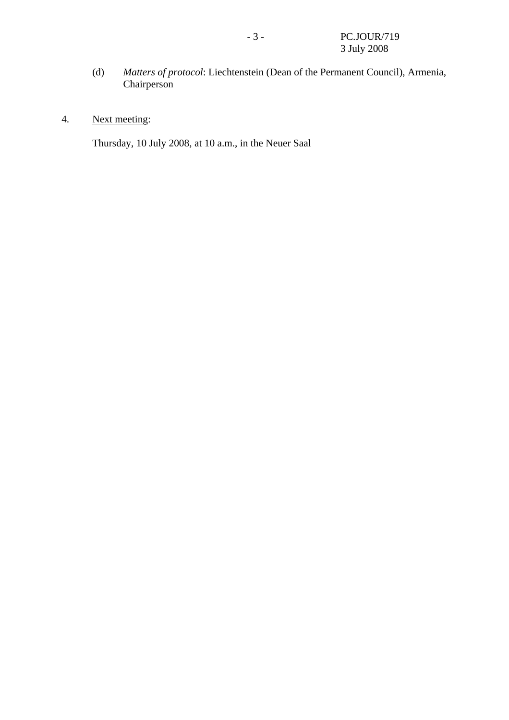- (d) *Matters of protocol*: Liechtenstein (Dean of the Permanent Council), Armenia, Chairperson
- 4. Next meeting:

Thursday, 10 July 2008, at 10 a.m., in the Neuer Saal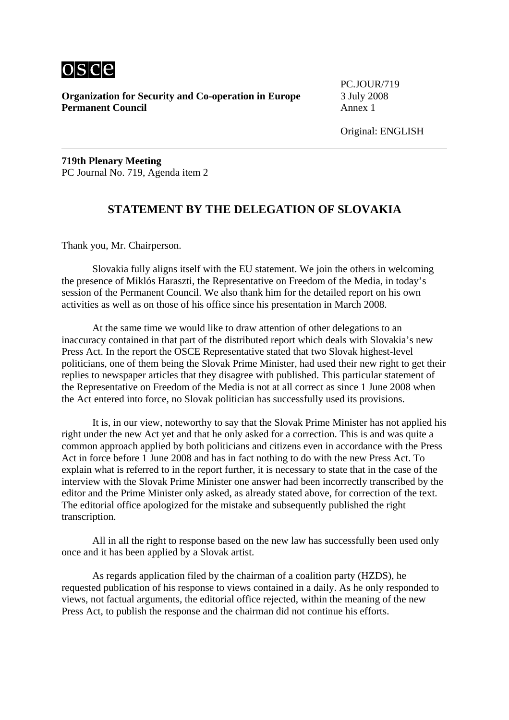

**Organization for Security and Co-operation in Europe** 3 July 2008 **Permanent Council Annex 1** 

PC.JOUR/719

**719th Plenary Meeting**  PC Journal No. 719, Agenda item 2

# **STATEMENT BY THE DELEGATION OF SLOVAKIA**

Thank you, Mr. Chairperson.

 Slovakia fully aligns itself with the EU statement. We join the others in welcoming the presence of Miklós Haraszti, the Representative on Freedom of the Media, in today's session of the Permanent Council. We also thank him for the detailed report on his own activities as well as on those of his office since his presentation in March 2008.

 At the same time we would like to draw attention of other delegations to an inaccuracy contained in that part of the distributed report which deals with Slovakia's new Press Act. In the report the OSCE Representative stated that two Slovak highest-level politicians, one of them being the Slovak Prime Minister, had used their new right to get their replies to newspaper articles that they disagree with published. This particular statement of the Representative on Freedom of the Media is not at all correct as since 1 June 2008 when the Act entered into force, no Slovak politician has successfully used its provisions.

 It is, in our view, noteworthy to say that the Slovak Prime Minister has not applied his right under the new Act yet and that he only asked for a correction. This is and was quite a common approach applied by both politicians and citizens even in accordance with the Press Act in force before 1 June 2008 and has in fact nothing to do with the new Press Act. To explain what is referred to in the report further, it is necessary to state that in the case of the interview with the Slovak Prime Minister one answer had been incorrectly transcribed by the editor and the Prime Minister only asked, as already stated above, for correction of the text. The editorial office apologized for the mistake and subsequently published the right transcription.

 All in all the right to response based on the new law has successfully been used only once and it has been applied by a Slovak artist.

 As regards application filed by the chairman of a coalition party (HZDS), he requested publication of his response to views contained in a daily. As he only responded to views, not factual arguments, the editorial office rejected, within the meaning of the new Press Act, to publish the response and the chairman did not continue his efforts.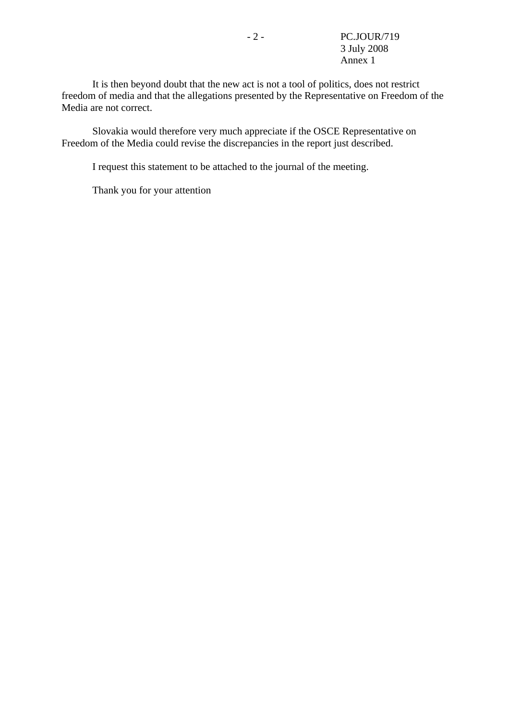It is then beyond doubt that the new act is not a tool of politics, does not restrict freedom of media and that the allegations presented by the Representative on Freedom of the Media are not correct.

 Slovakia would therefore very much appreciate if the OSCE Representative on Freedom of the Media could revise the discrepancies in the report just described.

I request this statement to be attached to the journal of the meeting.

Thank you for your attention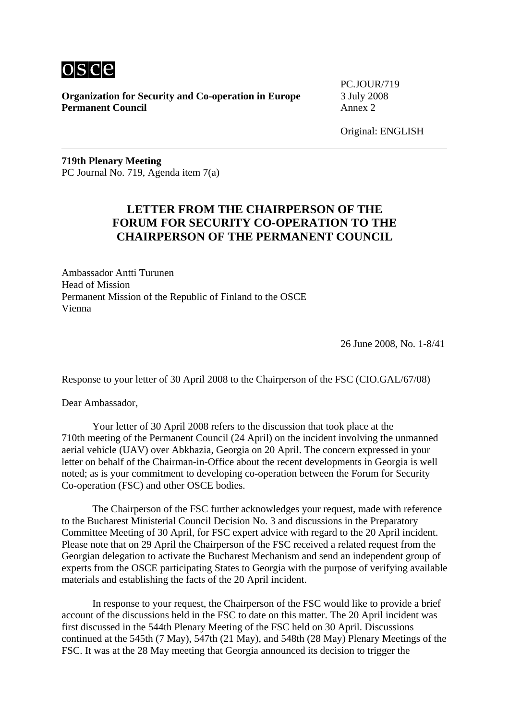

**Organization for Security and Co-operation in Europe** 3 July 2008 **Permanent Council Annex 2** 

PC.JOUR/719

Original: ENGLISH

**719th Plenary Meeting**  PC Journal No. 719, Agenda item 7(a)

# **LETTER FROM THE CHAIRPERSON OF THE FORUM FOR SECURITY CO-OPERATION TO THE CHAIRPERSON OF THE PERMANENT COUNCIL**

Ambassador Antti Turunen Head of Mission Permanent Mission of the Republic of Finland to the OSCE Vienna

26 June 2008, No. 1-8/41

Response to your letter of 30 April 2008 to the Chairperson of the FSC (CIO.GAL/67/08)

Dear Ambassador,

 Your letter of 30 April 2008 refers to the discussion that took place at the 710th meeting of the Permanent Council (24 April) on the incident involving the unmanned aerial vehicle (UAV) over Abkhazia, Georgia on 20 April. The concern expressed in your letter on behalf of the Chairman-in-Office about the recent developments in Georgia is well noted; as is your commitment to developing co-operation between the Forum for Security Co-operation (FSC) and other OSCE bodies.

 The Chairperson of the FSC further acknowledges your request, made with reference to the Bucharest Ministerial Council Decision No. 3 and discussions in the Preparatory Committee Meeting of 30 April, for FSC expert advice with regard to the 20 April incident. Please note that on 29 April the Chairperson of the FSC received a related request from the Georgian delegation to activate the Bucharest Mechanism and send an independent group of experts from the OSCE participating States to Georgia with the purpose of verifying available materials and establishing the facts of the 20 April incident.

 In response to your request, the Chairperson of the FSC would like to provide a brief account of the discussions held in the FSC to date on this matter. The 20 April incident was first discussed in the 544th Plenary Meeting of the FSC held on 30 April. Discussions continued at the 545th (7 May), 547th (21 May), and 548th (28 May) Plenary Meetings of the FSC. It was at the 28 May meeting that Georgia announced its decision to trigger the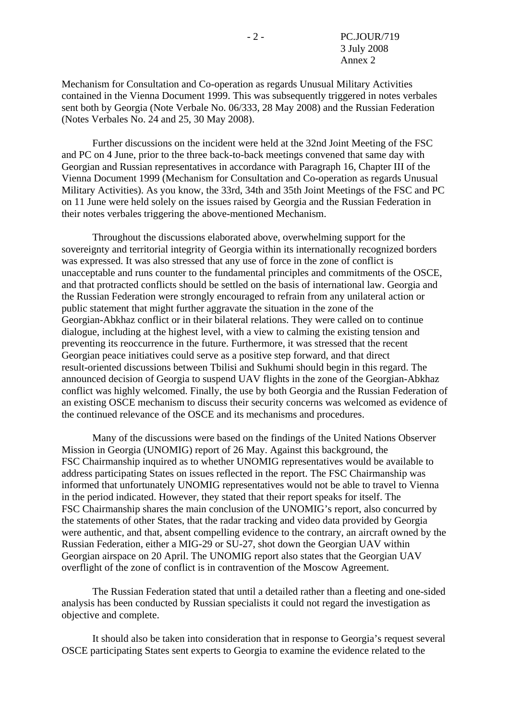Mechanism for Consultation and Co-operation as regards Unusual Military Activities contained in the Vienna Document 1999. This was subsequently triggered in notes verbales sent both by Georgia (Note Verbale No. 06/333, 28 May 2008) and the Russian Federation (Notes Verbales No. 24 and 25, 30 May 2008).

 Further discussions on the incident were held at the 32nd Joint Meeting of the FSC and PC on 4 June, prior to the three back-to-back meetings convened that same day with Georgian and Russian representatives in accordance with Paragraph 16, Chapter III of the Vienna Document 1999 (Mechanism for Consultation and Co-operation as regards Unusual Military Activities). As you know, the 33rd, 34th and 35th Joint Meetings of the FSC and PC on 11 June were held solely on the issues raised by Georgia and the Russian Federation in their notes verbales triggering the above-mentioned Mechanism.

 Throughout the discussions elaborated above, overwhelming support for the sovereignty and territorial integrity of Georgia within its internationally recognized borders was expressed. It was also stressed that any use of force in the zone of conflict is unacceptable and runs counter to the fundamental principles and commitments of the OSCE, and that protracted conflicts should be settled on the basis of international law. Georgia and the Russian Federation were strongly encouraged to refrain from any unilateral action or public statement that might further aggravate the situation in the zone of the Georgian-Abkhaz conflict or in their bilateral relations. They were called on to continue dialogue, including at the highest level, with a view to calming the existing tension and preventing its reoccurrence in the future. Furthermore, it was stressed that the recent Georgian peace initiatives could serve as a positive step forward, and that direct result-oriented discussions between Tbilisi and Sukhumi should begin in this regard. The announced decision of Georgia to suspend UAV flights in the zone of the Georgian-Abkhaz conflict was highly welcomed. Finally, the use by both Georgia and the Russian Federation of an existing OSCE mechanism to discuss their security concerns was welcomed as evidence of the continued relevance of the OSCE and its mechanisms and procedures.

 Many of the discussions were based on the findings of the United Nations Observer Mission in Georgia (UNOMIG) report of 26 May. Against this background, the FSC Chairmanship inquired as to whether UNOMIG representatives would be available to address participating States on issues reflected in the report. The FSC Chairmanship was informed that unfortunately UNOMIG representatives would not be able to travel to Vienna in the period indicated. However, they stated that their report speaks for itself. The FSC Chairmanship shares the main conclusion of the UNOMIG's report, also concurred by the statements of other States, that the radar tracking and video data provided by Georgia were authentic, and that, absent compelling evidence to the contrary, an aircraft owned by the Russian Federation, either a MIG-29 or SU-27, shot down the Georgian UAV within Georgian airspace on 20 April. The UNOMIG report also states that the Georgian UAV overflight of the zone of conflict is in contravention of the Moscow Agreement.

 The Russian Federation stated that until a detailed rather than a fleeting and one-sided analysis has been conducted by Russian specialists it could not regard the investigation as objective and complete.

 It should also be taken into consideration that in response to Georgia's request several OSCE participating States sent experts to Georgia to examine the evidence related to the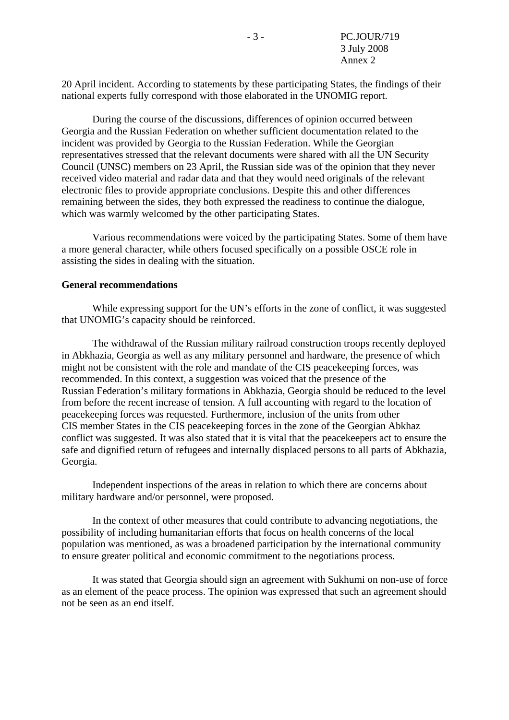20 April incident. According to statements by these participating States, the findings of their national experts fully correspond with those elaborated in the UNOMIG report.

 During the course of the discussions, differences of opinion occurred between Georgia and the Russian Federation on whether sufficient documentation related to the incident was provided by Georgia to the Russian Federation. While the Georgian representatives stressed that the relevant documents were shared with all the UN Security Council (UNSC) members on 23 April, the Russian side was of the opinion that they never received video material and radar data and that they would need originals of the relevant electronic files to provide appropriate conclusions. Despite this and other differences remaining between the sides, they both expressed the readiness to continue the dialogue, which was warmly welcomed by the other participating States.

 Various recommendations were voiced by the participating States. Some of them have a more general character, while others focused specifically on a possible OSCE role in assisting the sides in dealing with the situation.

#### **General recommendations**

 While expressing support for the UN's efforts in the zone of conflict, it was suggested that UNOMIG's capacity should be reinforced.

 The withdrawal of the Russian military railroad construction troops recently deployed in Abkhazia, Georgia as well as any military personnel and hardware, the presence of which might not be consistent with the role and mandate of the CIS peacekeeping forces, was recommended. In this context, a suggestion was voiced that the presence of the Russian Federation's military formations in Abkhazia, Georgia should be reduced to the level from before the recent increase of tension. A full accounting with regard to the location of peacekeeping forces was requested. Furthermore, inclusion of the units from other CIS member States in the CIS peacekeeping forces in the zone of the Georgian Abkhaz conflict was suggested. It was also stated that it is vital that the peacekeepers act to ensure the safe and dignified return of refugees and internally displaced persons to all parts of Abkhazia, Georgia.

 Independent inspections of the areas in relation to which there are concerns about military hardware and/or personnel, were proposed.

 In the context of other measures that could contribute to advancing negotiations, the possibility of including humanitarian efforts that focus on health concerns of the local population was mentioned, as was a broadened participation by the international community to ensure greater political and economic commitment to the negotiations process.

 It was stated that Georgia should sign an agreement with Sukhumi on non-use of force as an element of the peace process. The opinion was expressed that such an agreement should not be seen as an end itself.